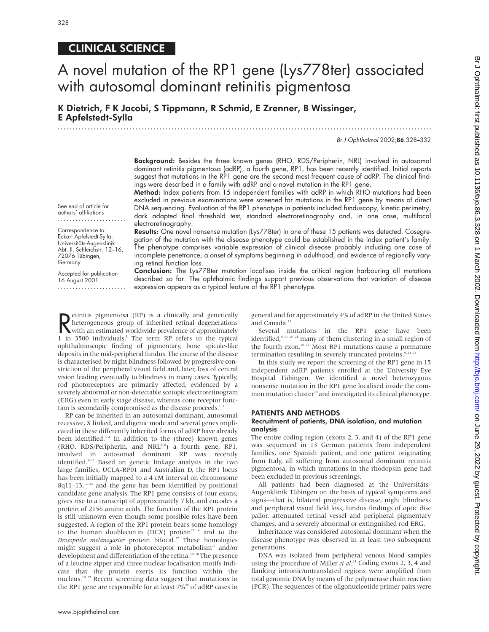# CLINICAL SCIENCE

# A novel mutation of the RP1 gene (Lys778ter) associated with autosomal dominant retinitis pigmentosa

K Dietrich, F K Jacobi, S Tippmann, R Schmid, E Zrenner, B Wissinger, E Apfelstedt-Sylla .............................................................................................................................

Br J Ophthalmol 2002;86:328–332

Background: Besides the three known genes (RHO, RDS/Peripherin, NRL) involved in autosomal dominant retinitis pigmentosa (adRP), a fourth gene, RP1, has been recently identified. Initial reports suggest that mutations in the RP1 gene are the second most frequent cause of adRP. The clinical findings were described in a family with adRP and a novel mutation in the RP1 gene.

Method: Index patients from 15 independent families with adRP in which RHO mutations had been excluded in previous examinations were screened for mutations in the RP1 gene by means of direct DNA sequencing. Evaluation of the RP1 phenotype in patients included funduscopy, kinetic perimetry, dark adapted final threshold test, standard electroretinography and, in one case, multifocal electroretinography.

Results: One novel nonsense mutation (Lys778ter) in one of these 15 patients was detected. Cosegregation of the mutation with the disease phenotype could be established in the index patient's family. The phenotype comprises variable expression of clinical disease probably including one case of incomplete penetrance, a onset of symptoms beginning in adulthood, and evidence of regionally varying retinal function loss.

Conclusion: The Lys778ter mutation localises inside the critical region harbouring all mutations described so far. The ophthalmic findings support previous observations that variation of disease expression appears as a typical feature of the RP1 phenotype.

**R** etimitis pigmentosa (RP) is a clinically and genetically<br>heterogeneous group of inherited retinal degenerations<br>with an estimated worldwide prevalence of approximately<br>l in 3500 individuals<sup>1</sup> The term RP refers to the etinitis pigmentosa (RP) is a clinically and genetically heterogeneous group of inherited retinal degenerations 1 in 3500 individuals.1 The term RP refers to the typical ophthalmoscopic finding of pigmentary, bone spicule-like deposits in the mid-peripheral fundus. The course of the disease is characterised by night blindness followed by progressive constriction of the peripheral visual field and, later, loss of central vision leading eventually to blindness in many cases. Typically, rod photoreceptors are primarily affected, evidenced by a severely abnormal or non-detectable scotopic electroretinogram (ERG) even in early stage disease, whereas cone receptor function is secondarily compromised as the disease proceeds.<sup>12</sup>

RP can be inherited in an autosomal dominant, autosomal recessive, X linked, and digenic mode and several genes implicated in these differently inherited forms of adRP have already been identified.<sup>34</sup> In addition to the (three) known genes (RHO, RDS/Peripherin, and NRL<sup>5-8</sup>) a fourth gene, RP1, involved in autosomal dominant RP was recently identified.<sup>9-11</sup> Based on genetic linkage analysis in the two large families, UCLA-RP01 and Australian D, the RP1 locus has been initially mapped to a 4 cM interval on chromosome 8q11–13, $12-14$  and the gene has been identified by positional candidate gene analysis. The RP1 gene consists of four exons, gives rise to a transcript of approximately 7 kb, and encodes a protein of 2156 amino acids. The function of the RP1 protein is still unknown even though some possible roles have been suggested. A region of the RP1 protein bears some homology to the human doublecortin (DCX) protein<sup>15 16</sup> and to the *Drosophila melanogaster* protein bifocal.17 These homologies might suggest a role in photoreceptor metabolism<sup>11</sup> and/or development and differentiation of the retina.<sup>10</sup> <sup>18</sup> The presence of a leucine zipper and three nuclear localisation motifs indicate that the protein exerts its function within the nucleus.10 19 Recent screening data suggest that mutations in the RP1 gene are responsible for at least 7%<sup>20</sup> of adRP cases in

general and for approximately 4% of adRP in the United States and Canada.<sup>11</sup>

Several mutations in the RP1 gene have been identified, $9-11$  20 21 many of them clustering in a small region of the fourth exon.<sup>20 22</sup> Most RP1 mutations cause a premature termination resulting in severely truncated proteins.<sup>9-11</sup> <sup>23</sup>

In this study we report the screening of the RP1 gene in 15 independent adRP patients enrolled at the University Eye Hospital Tübingen. We identified a novel heterozygous nonsense mutation in the RP1 gene localised inside the common mutation cluster<sup>20</sup> and investigated its clinical phenotype.

# PATIENTS AND METHODS

## Recruitment of patients, DNA isolation, and mutation analysis

The entire coding region (exons 2, 3, and 4) of the RP1 gene was sequenced in 13 German patients from independent families, one Spanish patient, and one patient originating from Italy, all suffering from autosomal dominant retinitis pigmentosa, in which mutations in the rhodopsin gene had been excluded in previous screenings.

All patients had been diagnosed at the Universitäts-Augenklinik Tübingen on the basis of typical symptoms and signs—that is, bilateral progressive disease, night blindness and peripheral visual field loss, fundus findings of optic disc pallor, attenuated retinal vessel and peripheral pigmentary changes, and a severely abnormal or extinguished rod ERG.

Inheritance was considered autosomal dominant when the disease phenotype was observed in at least two subsequent generations.

DNA was isolated from peripheral venous blood samples using the procedure of Miller *et al*.<sup>24</sup> Coding exons 2, 3, 4 and<br>flanking intropic/untranslated regions were amplified from flanking intronic/untranslated regions were amplified from total genomic DNA by means of the polymerase chain reaction (PCR). The sequences of the oligonucleotide primer pairs were

Correspondence to: Eckart Apfelstedt-Sylla, Universitäts-Augenklinik 72076 Tübingen,

Abt. II, Schleichstr. 12-16,

See end of article for authors' affiliations .......................

Accepted for publication 16 August 2001

.......................

Germany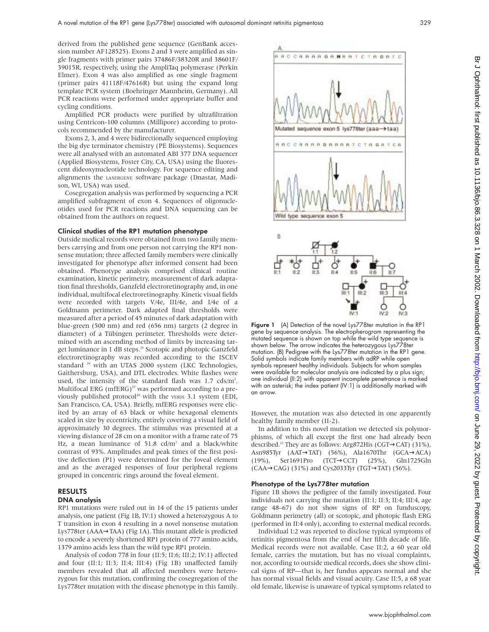derived from the published gene sequence (GenBank accession number AF128525). Exons 2 and 3 were amplified as single fragments with primer pairs 37486F/38320R and 38601F/ 39015R, respectively, using the AmpliTaq polymerase (Perkin Elmer). Exon 4 was also amplified as one single fragment (primer pairs 41118F/47616R) but using the expand long template PCR system (Boehringer Mannheim, Germany). All PCR reactions were performed under appropriate buffer and cycling conditions.

Amplified PCR products were purified by ultrafiltration using Centricon-100 columns (Millipore) according to protocols recommended by the manufacturer.

Exons 2, 3, and 4 were bidirectionally sequenced employing the big dye terminator chemistry (PE Biosystems). Sequences were all analysed with an automated ABI 377 DNA sequencer (Applied Biosystems, Foster City, CA, USA) using the fluorescent dideoxynucleotide technology. For sequence editing and alignments the LASERGENE software package (Dnastar, Madison, WI, USA) was used.

Cosegregation analysis was performed by sequencing a PCR amplified subfragment of exon 4. Sequences of oligonucleotides used for PCR reactions and DNA sequencing can be obtained from the authors on request.

# Clinical studies of the RP1 mutation phenotype

Outside medical records were obtained from two family members carrying and from one person not carrying the RP1 nonsense mutation; three affected family members were clinically investigated for phenotype after informed consent had been obtained. Phenotype analysis comprised clinical routine examination, kinetic perimetry, measurement of dark adaptation final thresholds, Ganzfeld electroretinography and, in one individual, multifocal electroretinography. Kinetic visual fields were recorded with targets V/4e, III/4e, and I/4e of a Goldmann perimeter. Dark adapted final thresholds were measured after a period of 45 minutes of dark adaptation with blue-green (500 nm) and red (656 nm) targets (2 degree in diameter) of a Tübingen perimeter. Thresholds were determined with an ascending method of limits by increasing target luminance in 1 dB steps.<sup>25</sup> Scotopic and photopic Ganzfeld electroretinography was recorded according to the ISCEV standard <sup>26</sup> with an UTAS 2000 system (LKC Technologies, Gaithersburg, USA), and DTL electrodes. White flashes were used, the intensity of the standard flash was  $1.7 \text{ cds/m}^2$ . Multifocal ERG (mfERG)<sup>27</sup> was performed according to a previously published protocol<sup>28</sup> with the vERIS 3.1 system (EDI, San Francisco, CA, USA). Briefly, mfERG responses were elicited by an array of 63 black or white hexagonal elements scaled in size by eccentricity, entirely covering a visual field of approximately 30 degrees. The stimulus was presented at a viewing distance of 28 cm on a monitor with a frame rate of 75 Hz, a mean luminance of  $51.8$  cd/m<sup>2</sup> and a black/white contrast of 93%. Amplitudes and peak times of the first positive deflection (P1) were determined for the foveal element and as the averaged responses of four peripheral regions grouped in concentric rings around the foveal element.

# RESULTS

# DNA analysis

RP1 mutations were ruled out in 14 of the 15 patients under analysis, one patient (Fig 1B, IV:1) showed a heterozygous A to T transition in exon 4 resulting in a novel nonsense mutation Lys778ter (AAA→TAA) (Fig 1A). This mutant allele is predicted to encode a severely shortened RP1 protein of 777 amino acids, 1379 amino acids less than the wild type RP1 protein.

Analysis of codon 778 in four (II:5; II:6; III:2; IV:1) affected and four (II:1; II:3; II:4; III:4) (Fig 1B) unaffected family members revealed that all affected members were heterozygous for this mutation, confirming the cosegregation of the Lys778ter mutation with the disease phenotype in this family.



Figure 1 (A) Detection of the novel Lys778ter mutation in the RP1 gene by sequence analysis. The electropherogram representing the mutated sequence is shown on top while the wild type sequence is shown below. The arrow indicates the heterozygous Lys778ter mutation. (B) Pedigree with the Lys778ter mutation in the RP1 gene. Solid symbols indicate family members with adRP while open symbols represent healthy individuals. Subjects for whom samples were available for molecular analysis are indicated by a plus sign; one individual (II:2) with apparent incomplete penetrance is marked with an asterisk; the index patient (IV:1) is additionally marked with an arrow.

However, the mutation was also detected in one apparently healthy family member (II-2).

In addition to this novel mutation we detected six polymorphisms, of which all except the first one had already been described.22 They are as follows: Arg872His (CGT→CAT) (31%), Asn985Tyr (AAT→TAT) (56%), Ala1670Thr (GCA→ACA) (19%), Ser1691Pro (TCT→CCT) (25%), Gln1725Gln (CAA→CAG) (31%) and Cys2033Tyr (TGT→TAT) (56%).

#### Phenotype of the Lys778ter mutation

Figure 1B shows the pedigree of the family investigated. Four individuals not carrying the mutation (II:1; II:3; II:4; III:4, age range 48–67) do not show signs of RP on funduscopy, Goldmann perimetry (all) or scotopic, and photopic flash ERG (performed in II:4 only), according to external medical records.

Individual I:2 was reported to disclose typical symptoms of retinitis pigmentosa from the end of her fifth decade of life. Medical records were not available. Case II:2, a 60 year old female, carries the mutation, but has no visual complaints, nor, according to outside medical records, does she show clinical signs of RP—that is, her fundus appears normal and she has normal visual fields and visual acuity. Case II:5, a 68 year old female, likewise is unaware of typical symptoms related to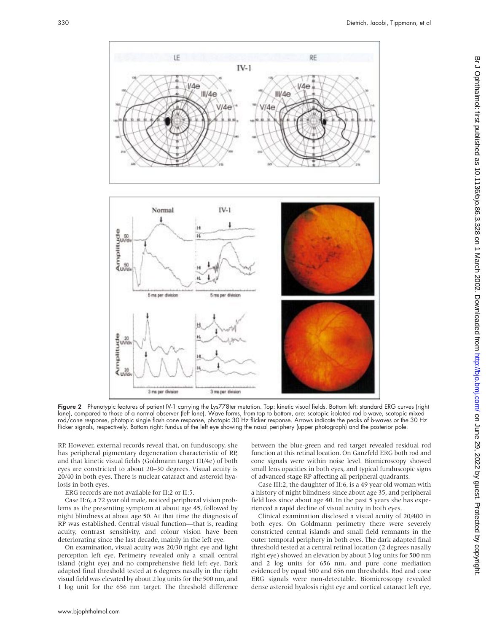

Figure 2 Phenotypic features of patient IV-1 carrying the Lys778ter mutation. Top: kinetic visual fields. Bottom left: standard ERG curves (right lane), compared to those of a normal observer (left lane). Wave forms, from top to bottom, are: scotopic isolated rod b-wave, scotopic mixed rod/cone response, photopic single flash cone response, photopic 30 Hz flicker response. Arrows indicate the peaks of b-waves or the 30 Hz flicker signals, respectively. Bottom right: fundus of the left eye showing the nasal periphery (upper photograph) and the posterior pole.

RP. However, external records reveal that, on funduscopy, she has peripheral pigmentary degeneration characteristic of RP, and that kinetic visual fields (Goldmann target III/4e) of both eyes are constricted to about 20–30 degrees. Visual acuity is 20/40 in both eyes. There is nuclear cataract and asteroid hyalosis in both eyes.

ERG records are not available for II:2 or II:5.

Case II:6, a 72 year old male, noticed peripheral vision problems as the presenting symptom at about age 45, followed by night blindness at about age 50. At that time the diagnosis of RP was established. Central visual function—that is, reading acuity, contrast sensitivity, and colour vision have been deteriorating since the last decade, mainly in the left eye.

On examination, visual acuity was 20/30 right eye and light perception left eye. Perimetry revealed only a small central island (right eye) and no comprehensive field left eye. Dark adapted final threshold tested at 6 degrees nasally in the right visual field was elevated by about 2 log units for the 500 nm, and 1 log unit for the 656 nm target. The threshold difference

between the blue-green and red target revealed residual rod function at this retinal location. On Ganzfeld ERG both rod and cone signals were within noise level. Biomicroscopy showed small lens opacities in both eyes, and typical funduscopic signs of advanced stage RP affecting all peripheral quadrants.

Case III:2, the daughter of II:6, is a 49 year old woman with a history of night blindness since about age 35, and peripheral field loss since about age 40. In the past 5 years she has experienced a rapid decline of visual acuity in both eyes.

Clinical examination disclosed a visual acuity of 20/400 in both eyes. On Goldmann perimetry there were severely constricted central islands and small field remnants in the outer temporal periphery in both eyes. The dark adapted final threshold tested at a central retinal location (2 degrees nasally right eye) showed an elevation by about 3 log units for 500 nm and 2 log units for 656 nm, and pure cone mediation evidenced by equal 500 and 656 nm thresholds. Rod and cone ERG signals were non-detectable. Biomicroscopy revealed dense asteroid hyalosis right eye and cortical cataract left eye,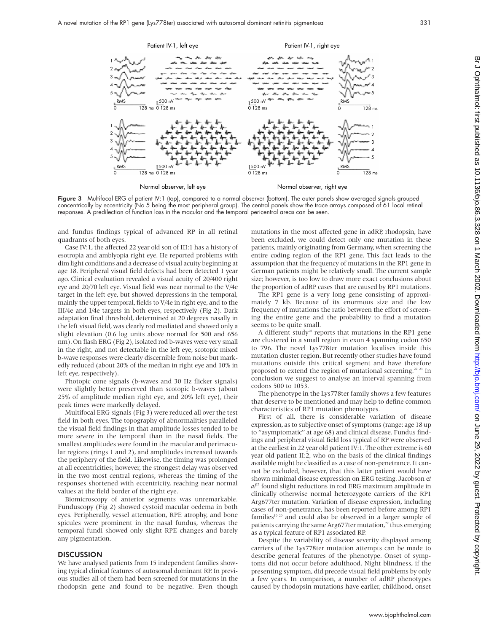

**Figure 3** Multifocal ERG of patient IV:1 (top), compared to a normal observer (bottom). The outer panels show averaged signals grouped concentrically by eccentricity (No 5 being the most peripheral group). The central panels show the trace arrays composed of 61 local retinal responses. A predilection of function loss in the macular and the temporal pericentral areas can be seen.

and fundus findings typical of advanced RP in all retinal quadrants of both eyes.

Case IV:1, the affected 22 year old son of III:1 has a history of esotropia and amblyopia right eye. He reported problems with dim light conditions and a decrease of visual acuity beginning at age 18. Peripheral visual field defects had been detected 1 year ago. Clinical evaluation revealed a visual acuity of 20/400 right eye and 20/70 left eye. Visual field was near normal to the V/4e target in the left eye, but showed depressions in the temporal, mainly the upper temporal, fields to V/4e in right eye, and to the III/4e and I/4e targets in both eyes, respectively (Fig 2). Dark adaptation final threshold, determined at 20 degrees nasally in the left visual field, was clearly rod mediated and showed only a slight elevation (0.6 log units above normal for 500 and 656 nm). On flash ERG (Fig 2), isolated rod b-waves were very small in the right, and not detectable in the left eye, scotopic mixed b-wave responses were clearly discernible from noise but markedly reduced (about 20% of the median in right eye and 10% in left eye, respectively).

Photopic cone signals (b-waves and 30 Hz flicker signals) were slightly better preserved than scotopic b-waves (about 25% of amplitude median right eye, and 20% left eye), their peak times were markedly delayed.

Multifocal ERG signals (Fig 3) were reduced all over the test field in both eyes. The topography of abnormalities paralleled the visual field findings in that amplitude losses tended to be more severe in the temporal than in the nasal fields. The smallest amplitudes were found in the macular and perimacular regions (rings 1 and 2), and amplitudes increased towards the periphery of the field. Likewise, the timing was prolonged at all eccentricities; however, the strongest delay was observed in the two most central regions, whereas the timing of the responses shortened with eccentricity, reaching near normal values at the field border of the right eye.

Biomicroscopy of anterior segments was unremarkable. Funduscopy (Fig 2) showed cystoid macular oedema in both eyes. Peripherally, vessel attenuation, RPE atrophy, and bone spicules were prominent in the nasal fundus, whereas the temporal fundi showed only slight RPE changes and barely any pigmentation.

#### **DISCUSSION**

We have analysed patients from 15 independent families showing typical clinical features of autosomal dominant RP. In previous studies all of them had been screened for mutations in the rhodopsin gene and found to be negative. Even though

mutations in the most affected gene in adRP, rhodopsin, have been excluded, we could detect only one mutation in these patients, mainly originating from Germany, when screening the entire coding region of the RP1 gene. This fact leads to the assumption that the frequency of mutations in the RP1 gene in German patients might be relatively small. The current sample size; however, is too low to draw more exact conclusions about the proportion of adRP cases that are caused by RP1 mutations.

The RP1 gene is a very long gene consisting of approximately 7 kb. Because of its enormous size and the low frequency of mutations the ratio between the effort of screening the entire gene and the probability to find a mutation seems to be quite small.

A different study<sup>20</sup> reports that mutations in the RP1 gene are clustered in a small region in exon 4 spanning codon 650 to 796. The novel Lys778ter mutation localises inside this mutation cluster region. But recently other studies have found mutations outside this critical segment and have therefore proposed to extend the region of mutational screening.<sup>22 23</sup> In conclusion we suggest to analyse an interval spanning from codons 500 to 1053.

The phenotype in the Lys778ter family shows a few features that deserve to be mentioned and may help to define common characteristics of RP1 mutation phenotypes.

First of all, there is considerable variation of disease expression, as to subjective onset of symptoms (range: age 18 up to "asymptomatic" at age 68) and clinical disease. Fundus findings and peripheral visual field loss typical of RP were observed at the earliest in 22 year old patient IV:1. The other extreme is 60 year old patient II:2, who on the basis of the clinical findings available might be classified as a case of non-penetrance. It cannot be excluded, however, that this latter patient would have shown minimal disease expression on ERG testing. Jacobson e*t*  $al^{22}$  found slight reductions in rod ERG maximum amplitude in clinically otherwise normal heterozygote carriers of the RP1 Arg677ter mutation. Variation of disease expression, including cases of non-penetrance, has been reported before among RP1 families<sup>10 20</sup> and could also be observed in a larger sample of patients carrying the same Arg677ter mutation,<sup>22</sup> thus emerging as a typical feature of RP1 associated RP.

Despite the variability of disease severity displayed among carriers of the Lys778ter mutation attempts can be made to describe general features of the phenotype. Onset of symptoms did not occur before adulthood. Night blindness, if the presenting symptom, did precede visual field problems by only a few years. In comparison, a number of adRP phenotypes caused by rhodopsin mutations have earlier, childhood, onset